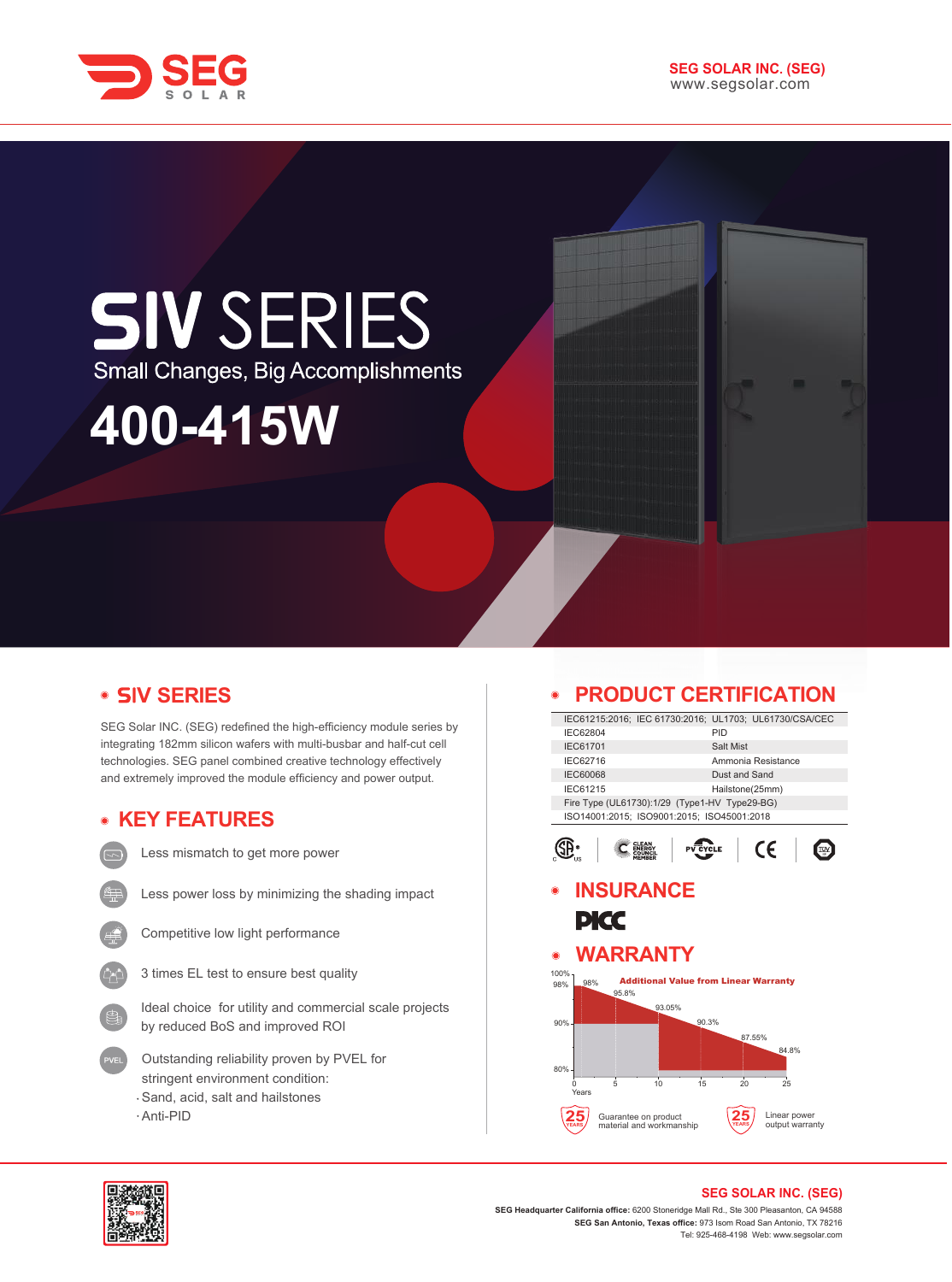

# **SIV SERIES** Small Changes, Big Accomplishments

# **400-415W**

# **V SERIES**

SEG Solar INC. (SEG) redefined the high-efficiency module series by integrating 182mm silicon wafers with multi-busbar and half-cut cell technologies. SEG panel combined creative technology effectively and extremely improved the module efficiency and power output.

# **KEY FEATURES**

Less mismatch to get more power



Less power loss by minimizing the shading impact



Competitive low light performance



Ideal choice for utility and commercial scale projects by reduced BoS and improved ROI

- Outstanding reliability proven by PVEL for stringent environment condition: Sand, acid, salt and hailstones
- Anti-PID

# **PRODUCT CERTIFICATION**

| 88 JE JU                                    |                                                  |                                                        |  |  |
|---------------------------------------------|--------------------------------------------------|--------------------------------------------------------|--|--|
|                                             |                                                  | IEC61215:2016; IEC 61730:2016; UL1703; UL61730/CSA/CEC |  |  |
| IEC62804                                    | PID                                              |                                                        |  |  |
| IEC61701                                    |                                                  | Salt Mist                                              |  |  |
| IEC62716                                    |                                                  | Ammonia Resistance                                     |  |  |
| <b>IEC60068</b>                             |                                                  | Dust and Sand                                          |  |  |
| IEC61215                                    |                                                  | Hailstone(25mm)                                        |  |  |
|                                             | Fire Type (UL61730):1/29 (Type1-HV Type29-BG)    |                                                        |  |  |
|                                             | ISO14001:2015; ISO9001:2015; ISO45001:2018       |                                                        |  |  |
|                                             | YCLE                                             | CE                                                     |  |  |
|                                             | <b>INSURANCE</b>                                 |                                                        |  |  |
|                                             |                                                  |                                                        |  |  |
|                                             |                                                  |                                                        |  |  |
|                                             |                                                  |                                                        |  |  |
| PKC                                         |                                                  |                                                        |  |  |
|                                             |                                                  |                                                        |  |  |
|                                             | <b>WARRANTY</b>                                  |                                                        |  |  |
|                                             | <b>Additional Value from Linear Warranty</b>     |                                                        |  |  |
| 98%<br>95.8%                                |                                                  |                                                        |  |  |
|                                             | 93.05%                                           |                                                        |  |  |
|                                             | 90.3%                                            |                                                        |  |  |
|                                             |                                                  | 87.55%                                                 |  |  |
|                                             |                                                  | 84.8%                                                  |  |  |
|                                             |                                                  |                                                        |  |  |
|                                             |                                                  |                                                        |  |  |
| 5<br>n<br>Years                             | 15<br>10                                         | 20<br>25                                               |  |  |
| $\circledcirc$<br>100%<br>98%<br>90%<br>80% |                                                  |                                                        |  |  |
|                                             | Guarantee on product<br>material and workmanship | Linear power<br>output warranty                        |  |  |



### **SEG SOLAR INC. (SEG)**

**SEG Headquarter California office:** 6200 Stoneridge Mall Rd., Ste 300 Pleasanton, CA 94588 **SEG San Antonio, Texas office:** 973 Isom Road San Antonio, TX 78216 Tel: 925-468-4198 Web: www.segsolar.com